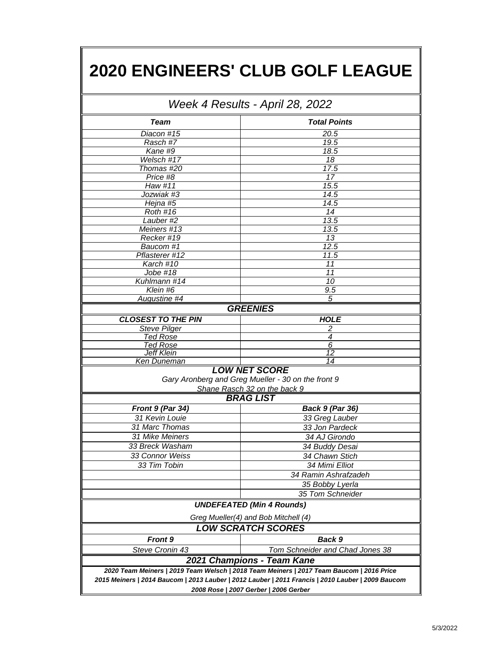## **2020 ENGINEERS' CLUB GOLF LEAGUE**

| Week 4 Results - April 28, 2022 |                                                                                                                                            |  |  |  |  |  |  |
|---------------------------------|--------------------------------------------------------------------------------------------------------------------------------------------|--|--|--|--|--|--|
| <b>Team</b>                     | <b>Total Points</b>                                                                                                                        |  |  |  |  |  |  |
| Diacon #15                      | 20.5                                                                                                                                       |  |  |  |  |  |  |
| Rasch #7                        | 19.5                                                                                                                                       |  |  |  |  |  |  |
| Kane #9                         | 18.5                                                                                                                                       |  |  |  |  |  |  |
| Welsch #17                      | 18                                                                                                                                         |  |  |  |  |  |  |
| Thomas #20                      | 17.5                                                                                                                                       |  |  |  |  |  |  |
| Price #8                        | 17                                                                                                                                         |  |  |  |  |  |  |
| Haw #11                         | 15.5                                                                                                                                       |  |  |  |  |  |  |
| Jozwiak #3                      | 14.5                                                                                                                                       |  |  |  |  |  |  |
| Hejna #5                        | 14.5                                                                                                                                       |  |  |  |  |  |  |
| <b>Roth #16</b>                 | 14                                                                                                                                         |  |  |  |  |  |  |
| Lauber #2                       | 13.5                                                                                                                                       |  |  |  |  |  |  |
| Meiners #13                     | 13.5                                                                                                                                       |  |  |  |  |  |  |
| Recker #19                      | 13                                                                                                                                         |  |  |  |  |  |  |
| Baucom #1                       | 12.5                                                                                                                                       |  |  |  |  |  |  |
| Pflasterer #12                  | 11.5                                                                                                                                       |  |  |  |  |  |  |
| Karch #10                       | 11                                                                                                                                         |  |  |  |  |  |  |
| Jobe #18                        | 11                                                                                                                                         |  |  |  |  |  |  |
| Kuhlmann #14                    | 10                                                                                                                                         |  |  |  |  |  |  |
| Klein #6                        | 9.5                                                                                                                                        |  |  |  |  |  |  |
| Augustine #4                    | 5                                                                                                                                          |  |  |  |  |  |  |
|                                 | <b>GREENIES</b>                                                                                                                            |  |  |  |  |  |  |
| <b>CLOSEST TO THE PIN</b>       | <b>HOLE</b>                                                                                                                                |  |  |  |  |  |  |
| <b>Steve Pilger</b>             | 2                                                                                                                                          |  |  |  |  |  |  |
| <u>Ted Rose</u>                 | 4                                                                                                                                          |  |  |  |  |  |  |
| <b>Ted Rose</b>                 | 6                                                                                                                                          |  |  |  |  |  |  |
| <b>Jeff Klein</b>               | $\overline{12}$                                                                                                                            |  |  |  |  |  |  |
| <b>Ken Duneman</b>              | 14                                                                                                                                         |  |  |  |  |  |  |
|                                 | <b>LOW NET SCORE</b><br>Gary Aronberg and Greg Mueller - 30 on the front 9<br>Shane Rasch 32 on the back 9                                 |  |  |  |  |  |  |
|                                 | <b>BRAG LIST</b>                                                                                                                           |  |  |  |  |  |  |
| Front 9 (Par 34)                | <b>Back 9 (Par 36)</b>                                                                                                                     |  |  |  |  |  |  |
| 31 Kevin Louie                  | 33 Greg Lauber                                                                                                                             |  |  |  |  |  |  |
| 31 Marc Thomas                  | 33 Jon Pardeck                                                                                                                             |  |  |  |  |  |  |
| 31 Mike Meiners                 | 34 AJ Girondo                                                                                                                              |  |  |  |  |  |  |
| 33 Breck Washam                 | 34 Buddy Desai                                                                                                                             |  |  |  |  |  |  |
| 33 Connor Weiss                 | 34 Chawn Stich                                                                                                                             |  |  |  |  |  |  |
| 33 Tim Tobin                    | 34 Mimi Elliot                                                                                                                             |  |  |  |  |  |  |
|                                 |                                                                                                                                            |  |  |  |  |  |  |
|                                 | 34 Ramin Ashrafzadeh                                                                                                                       |  |  |  |  |  |  |
|                                 | 35 Bobby Lyerla                                                                                                                            |  |  |  |  |  |  |
|                                 | 35 Tom Schneider                                                                                                                           |  |  |  |  |  |  |
|                                 | <b>UNDEFEATED (Min 4 Rounds)</b>                                                                                                           |  |  |  |  |  |  |
|                                 | Greg Mueller(4) and Bob Mitchell (4)                                                                                                       |  |  |  |  |  |  |
|                                 | <b>LOW SCRATCH SCORES</b>                                                                                                                  |  |  |  |  |  |  |
| <b>Front 9</b>                  | Back 9                                                                                                                                     |  |  |  |  |  |  |
| Steve Cronin 43                 | Tom Schneider and Chad Jones 38                                                                                                            |  |  |  |  |  |  |
|                                 | 2021 Champions - Team Kane                                                                                                                 |  |  |  |  |  |  |
|                                 | 2020 Team Meiners   2019 Team Welsch   2018 Team Meiners   2017 Team Baucom   2016 Price                                                   |  |  |  |  |  |  |
|                                 | 2015 Meiners   2014 Baucom   2013 Lauber   2012 Lauber   2011 Francis   2010 Lauber   2009 Baucom<br>2008 Rose   2007 Gerber   2006 Gerber |  |  |  |  |  |  |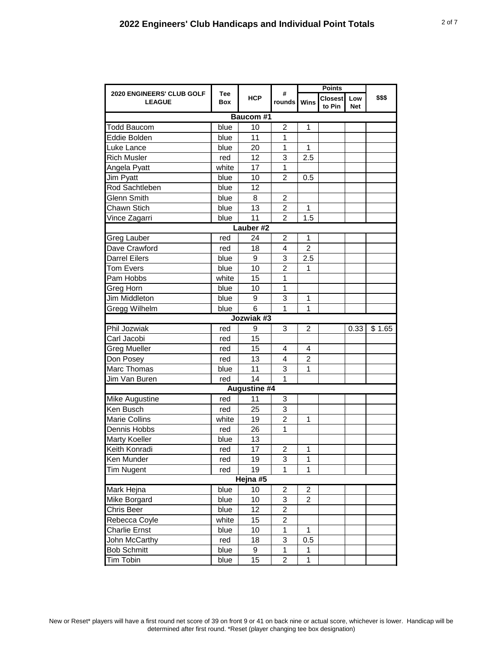|                                                   |                   |              | <b>Points</b>           |                |                   |                   |        |  |  |
|---------------------------------------------------|-------------------|--------------|-------------------------|----------------|-------------------|-------------------|--------|--|--|
| <b>2020 ENGINEERS' CLUB GOLF</b><br><b>LEAGUE</b> | <b>Tee</b><br>Box | <b>HCP</b>   | #<br>rounds             | Wins           | Closest<br>to Pin | Low<br><b>Net</b> | \$\$\$ |  |  |
| <b>Baucom #1</b>                                  |                   |              |                         |                |                   |                   |        |  |  |
| <b>Todd Baucom</b>                                | blue              | 10           | $\overline{c}$          | 1              |                   |                   |        |  |  |
| Eddie Bolden                                      | blue              | 11           | 1                       |                |                   |                   |        |  |  |
| Luke Lance                                        | blue              | 20           | 1                       | $\mathbf{1}$   |                   |                   |        |  |  |
| <b>Rich Musler</b>                                | red               | 12           | 3                       | 2.5            |                   |                   |        |  |  |
| Angela Pyatt                                      | white             | 17           | 1                       |                |                   |                   |        |  |  |
| Jim Pyatt                                         | blue              | 10           | $\overline{2}$          | 0.5            |                   |                   |        |  |  |
| Rod Sachtleben                                    | blue              | 12           |                         |                |                   |                   |        |  |  |
| <b>Glenn Smith</b>                                | blue              | 8            | $\overline{2}$          |                |                   |                   |        |  |  |
| Chawn Stich                                       | blue              | 13           | $\overline{2}$          | 1              |                   |                   |        |  |  |
| Vince Zagarri                                     | blue              | 11           | $\overline{2}$          | 1.5            |                   |                   |        |  |  |
|                                                   |                   | Lauber #2    |                         |                |                   |                   |        |  |  |
| <b>Greg Lauber</b>                                | red               | 24           | $\overline{2}$          | 1              |                   |                   |        |  |  |
| Dave Crawford                                     | red               | 18           | $\overline{4}$          | $\overline{2}$ |                   |                   |        |  |  |
| <b>Darrel Eilers</b>                              | blue              | 9            | 3                       | 2.5            |                   |                   |        |  |  |
| Tom Evers                                         | blue              | 10           | $\overline{2}$          | 1              |                   |                   |        |  |  |
| Pam Hobbs                                         | white             | 15           | 1                       |                |                   |                   |        |  |  |
| Greg Horn                                         | blue              | 10           | 1                       |                |                   |                   |        |  |  |
| <b>Jim Middleton</b>                              | blue              | 9            | 3                       | 1              |                   |                   |        |  |  |
| Gregg Wilhelm                                     | blue              | 6            | $\mathbf{1}$            | $\mathbf{1}$   |                   |                   |        |  |  |
|                                                   |                   | Jozwiak #3   |                         |                |                   |                   |        |  |  |
| Phil Jozwiak                                      | red               | 9            | 3                       | 2              |                   | 0.33              | \$1.65 |  |  |
| Carl Jacobi                                       | red               | 15           |                         |                |                   |                   |        |  |  |
| Greg Mueller                                      | red               | 15           | 4                       | 4              |                   |                   |        |  |  |
| Don Posey                                         | red               | 13           | $\overline{4}$          | $\overline{2}$ |                   |                   |        |  |  |
| Marc Thomas                                       | blue              | 11           | 3                       | 1              |                   |                   |        |  |  |
| Jim Van Buren                                     | red               | 14           | 1                       |                |                   |                   |        |  |  |
|                                                   |                   | Augustine #4 |                         |                |                   |                   |        |  |  |
| <b>Mike Augustine</b>                             | red               | 11           | 3                       |                |                   |                   |        |  |  |
| Ken Busch                                         | red               | 25           | 3                       |                |                   |                   |        |  |  |
| <b>Marie Collins</b>                              | white             | 19           | $\overline{2}$          | 1              |                   |                   |        |  |  |
| Dennis Hobbs                                      | red               | 26           | $\mathbf 1$             |                |                   |                   |        |  |  |
| <b>Marty Koeller</b>                              | blue              | 13           |                         |                |                   |                   |        |  |  |
| Keith Konradi                                     | red               | 17           | $\overline{c}$          | $\overline{1}$ |                   |                   |        |  |  |
| Ken Munder                                        | red               | 19           | 3                       | 1              |                   |                   |        |  |  |
| <b>Tim Nugent</b>                                 | red               | 19           | 1                       | 1              |                   |                   |        |  |  |
| Hejna #5                                          |                   |              |                         |                |                   |                   |        |  |  |
| Mark Hejna                                        | blue              | $10$         | $\overline{\mathbf{c}}$ | $\overline{2}$ |                   |                   |        |  |  |
| Mike Borgard                                      | blue              | 10           | 3                       | $\overline{2}$ |                   |                   |        |  |  |
| Chris Beer                                        | blue              | 12           | $\overline{c}$          |                |                   |                   |        |  |  |
| Rebecca Coyle                                     | white             | 15           | $\overline{\mathbf{c}}$ |                |                   |                   |        |  |  |
| <b>Charlie Ernst</b>                              | blue              | 10           | $\mathbf 1$             | 1              |                   |                   |        |  |  |
| John McCarthy                                     | red               | 18           | 3                       | 0.5            |                   |                   |        |  |  |
| <b>Bob Schmitt</b>                                | blue              | 9            | 1                       | 1              |                   |                   |        |  |  |
| Tim Tobin                                         | blue              | 15           | $\overline{c}$          | $\mathbf{1}$   |                   |                   |        |  |  |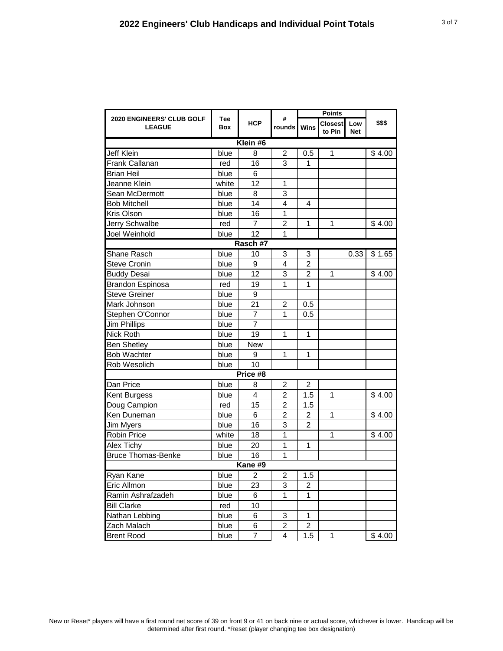|                                            |                   |                | #              |                         |                          |                   |        |  |  |
|--------------------------------------------|-------------------|----------------|----------------|-------------------------|--------------------------|-------------------|--------|--|--|
| 2020 ENGINEERS' CLUB GOLF<br><b>LEAGUE</b> | <b>Tee</b><br>Box | <b>HCP</b>     | rounds Wins    |                         | <b>Closest</b><br>to Pin | Low<br><b>Net</b> | \$\$\$ |  |  |
| Klein #6                                   |                   |                |                |                         |                          |                   |        |  |  |
| Jeff Klein                                 | blue              | 8              | $\overline{2}$ | 0.5                     | 1                        |                   | \$4.00 |  |  |
| Frank Callanan                             | red               | 16             | 3              | 1                       |                          |                   |        |  |  |
| <b>Brian Heil</b>                          | blue              | 6              |                |                         |                          |                   |        |  |  |
| Jeanne Klein                               | white             | 12             | 1              |                         |                          |                   |        |  |  |
| Sean McDermott                             | blue              | 8              | 3              |                         |                          |                   |        |  |  |
| <b>Bob Mitchell</b>                        | blue              | 14             | 4              | 4                       |                          |                   |        |  |  |
| Kris Olson                                 | blue              | 16             | 1              |                         |                          |                   |        |  |  |
| Jerry Schwalbe                             | red               | 7              | $\overline{2}$ | 1                       | 1                        |                   | \$4.00 |  |  |
| Joel Weinhold                              | blue              | 12             | 1              |                         |                          |                   |        |  |  |
|                                            |                   | Rasch #7       |                |                         |                          |                   |        |  |  |
| Shane Rasch                                | blue              | 10             | 3              | 3                       |                          | 0.33              | \$1.65 |  |  |
| <b>Steve Cronin</b>                        | blue              | 9              | 4              | $\overline{2}$          |                          |                   |        |  |  |
| <b>Buddy Desai</b>                         | blue              | 12             | 3              | 2                       | 1                        |                   | \$4.00 |  |  |
| <b>Brandon Espinosa</b>                    | red               | 19             | 1              | 1                       |                          |                   |        |  |  |
| Steve Greiner                              | blue              | 9              |                |                         |                          |                   |        |  |  |
| Mark Johnson                               | blue              | 21             | 2              | 0.5                     |                          |                   |        |  |  |
| Stephen O'Connor                           | blue              | $\overline{7}$ | 1              | 0.5                     |                          |                   |        |  |  |
| Jim Phillips                               | blue              | 7              |                |                         |                          |                   |        |  |  |
| Nick Roth                                  | blue              | 19             | 1              | 1                       |                          |                   |        |  |  |
| <b>Ben Shetley</b>                         | blue              | <b>New</b>     |                |                         |                          |                   |        |  |  |
| <b>Bob Wachter</b>                         | blue              | 9              | 1              | 1                       |                          |                   |        |  |  |
| Rob Wesolich                               | blue              | 10             |                |                         |                          |                   |        |  |  |
|                                            |                   | Price #8       |                |                         |                          |                   |        |  |  |
| Dan Price                                  | blue              | 8              | 2              | $\overline{2}$          |                          |                   |        |  |  |
| Kent Burgess                               | blue              | 4              | $\overline{c}$ | 1.5                     | 1                        |                   | \$4.00 |  |  |
| Doug Campion                               | red               | 15             | $\overline{c}$ | 1.5                     |                          |                   |        |  |  |
| Ken Duneman                                | blue              | 6              | $\overline{2}$ | 2                       | 1                        |                   | \$4.00 |  |  |
| <b>Jim Myers</b>                           | blue              | 16             | 3              | 2                       |                          |                   |        |  |  |
| <b>Robin Price</b>                         | white             | 18             | 1              |                         | 1                        |                   | \$4.00 |  |  |
| Alex Tichy                                 | blue              | 20             | 1              | 1                       |                          |                   |        |  |  |
| <b>Bruce Thomas-Benke</b>                  | blue              | 16             | $\overline{1}$ |                         |                          |                   |        |  |  |
| Kane #9                                    |                   |                |                |                         |                          |                   |        |  |  |
| Ryan Kane                                  | blue              | $\overline{2}$ | $\overline{2}$ | 1.5                     |                          |                   |        |  |  |
| Eric Allmon                                | blue              | 23             | 3              | 2                       |                          |                   |        |  |  |
| Ramin Ashrafzadeh                          | blue              | 6              | 1              | 1                       |                          |                   |        |  |  |
| <b>Bill Clarke</b>                         | red               | 10             |                |                         |                          |                   |        |  |  |
| Nathan Lebbing                             | blue              | 6              | 3              | $\mathbf{1}$            |                          |                   |        |  |  |
| Zach Malach                                | blue              | 6              | $\overline{c}$ | $\overline{\mathbf{c}}$ |                          |                   |        |  |  |
| <b>Brent Rood</b>                          | blue              | 7              | 4              | 1.5                     | 1                        |                   | \$4.00 |  |  |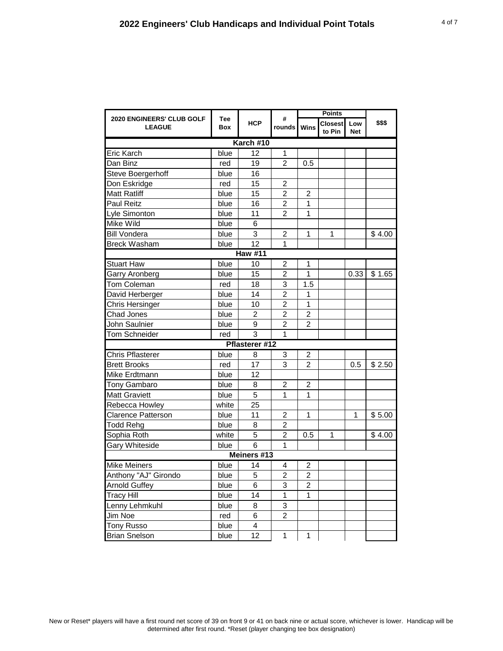|                                            |            |                |                |                         | <b>Points</b>     |                   |        |  |  |
|--------------------------------------------|------------|----------------|----------------|-------------------------|-------------------|-------------------|--------|--|--|
| 2020 ENGINEERS' CLUB GOLF<br><b>LEAGUE</b> | Tee<br>Box | <b>HCP</b>     | #<br>rounds    | <b>Wins</b>             | Closest<br>to Pin | Low<br><b>Net</b> | \$\$\$ |  |  |
| Karch #10                                  |            |                |                |                         |                   |                   |        |  |  |
| Eric Karch                                 | blue       | 12             | $\mathbf{1}$   |                         |                   |                   |        |  |  |
| Dan Binz                                   | red        | 19             | $\mathfrak{p}$ | 0.5                     |                   |                   |        |  |  |
| Steve Boergerhoff                          | blue       | 16             |                |                         |                   |                   |        |  |  |
| Don Eskridge                               | red        | 15             | $\overline{2}$ |                         |                   |                   |        |  |  |
| <b>Matt Ratliff</b>                        | blue       | 15             | $\overline{2}$ | $\overline{2}$          |                   |                   |        |  |  |
| Paul Reitz                                 | blue       | 16             | $\overline{c}$ | 1                       |                   |                   |        |  |  |
| Lyle Simonton                              | blue       | 11             | $\overline{2}$ | 1                       |                   |                   |        |  |  |
| Mike Wild                                  | blue       | 6              |                |                         |                   |                   |        |  |  |
| <b>Bill Vondera</b>                        | blue       | 3              | $\overline{c}$ | 1                       | 1                 |                   | \$4.00 |  |  |
| <b>Breck Washam</b>                        | blue       | 12             | 1              |                         |                   |                   |        |  |  |
|                                            |            | <b>Haw #11</b> |                |                         |                   |                   |        |  |  |
| <b>Stuart Haw</b>                          | blue       | 10             | $\overline{2}$ | 1                       |                   |                   |        |  |  |
| Garry Aronberg                             | blue       | 15             | $\overline{c}$ | 1                       |                   | 0.33              | \$1.65 |  |  |
| Tom Coleman                                | red        | 18             | 3              | 1.5                     |                   |                   |        |  |  |
| David Herberger                            | blue       | 14             | $\overline{2}$ | 1                       |                   |                   |        |  |  |
| Chris Hersinger                            | blue       | 10             | $\overline{c}$ | 1                       |                   |                   |        |  |  |
| Chad Jones                                 | blue       | 2              | $\overline{2}$ | $\overline{2}$          |                   |                   |        |  |  |
| John Saulnier                              | blue       | 9              | $\overline{2}$ | $\overline{2}$          |                   |                   |        |  |  |
| Tom Schneider                              | red        | 3              | 1              |                         |                   |                   |        |  |  |
|                                            |            | Pflasterer #12 |                |                         |                   |                   |        |  |  |
| <b>Chris Pflasterer</b>                    | blue       | 8              | 3              | $\overline{2}$          |                   |                   |        |  |  |
| <b>Brett Brooks</b>                        | red        | 17             | 3              | $\overline{2}$          |                   | 0.5               | \$2.50 |  |  |
| Mike Erdtmann                              | blue       | 12             |                |                         |                   |                   |        |  |  |
| Tony Gambaro                               | blue       | 8              | $\overline{2}$ | $\overline{2}$          |                   |                   |        |  |  |
| <b>Matt Graviett</b>                       | blue       | 5              | 1              | 1                       |                   |                   |        |  |  |
| Rebecca Howley                             | white      | 25             |                |                         |                   |                   |        |  |  |
| <b>Clarence Patterson</b>                  | blue       | 11             | 2              | 1                       |                   | 1                 | \$5.00 |  |  |
| <b>Todd Rehg</b>                           | blue       | 8              | $\overline{2}$ |                         |                   |                   |        |  |  |
| Sophia Roth                                | white      | $\overline{5}$ | $\overline{2}$ | 0.5                     | 1                 |                   | \$4.00 |  |  |
| <b>Gary Whiteside</b>                      | blue       | 6              | $\mathbf{1}$   |                         |                   |                   |        |  |  |
|                                            |            | Meiners #13    |                |                         |                   |                   |        |  |  |
| <b>Mike Meiners</b>                        | blue       | 14             | 4              | $\overline{c}$          |                   |                   |        |  |  |
| Anthony "AJ" Girondo                       | blue       | 5              | $\overline{c}$ | $\overline{c}$          |                   |                   |        |  |  |
| <b>Arnold Guffey</b>                       | blue       | 6              | 3              | $\overline{\mathbf{c}}$ |                   |                   |        |  |  |
| <b>Tracy Hill</b>                          | blue       | 14             | 1              | 1                       |                   |                   |        |  |  |
| Lenny Lehmkuhl                             | blue       | 8              | 3              |                         |                   |                   |        |  |  |
| Jim Noe                                    | red        | 6              | 2              |                         |                   |                   |        |  |  |
| <b>Tony Russo</b>                          | blue       | 4              |                |                         |                   |                   |        |  |  |
| <b>Brian Snelson</b>                       | blue       | 12             | 1              | 1                       |                   |                   |        |  |  |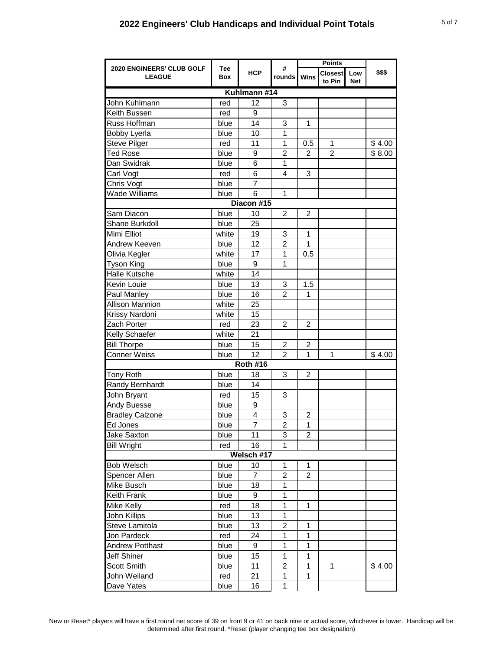|                                                   |            |                 |                | <b>Points</b>     |                          |                   |        |  |
|---------------------------------------------------|------------|-----------------|----------------|-------------------|--------------------------|-------------------|--------|--|
| <b>2020 ENGINEERS' CLUB GOLF</b><br><b>LEAGUE</b> | Tee<br>Box | <b>HCP</b>      | #<br>rounds    | Wins              | <b>Closest</b><br>to Pin | Low<br><b>Net</b> | \$\$\$ |  |
| Kuhlmann #14                                      |            |                 |                |                   |                          |                   |        |  |
| John Kuhlmann                                     | red        | 12              | 3              |                   |                          |                   |        |  |
| Keith Bussen                                      | red        | 9               |                |                   |                          |                   |        |  |
| Russ Hoffman                                      | blue       | 14              | 3              | $\mathbf{1}$      |                          |                   |        |  |
| Bobby Lyerla                                      | blue       | 10              | 1              |                   |                          |                   |        |  |
| <b>Steve Pilger</b>                               | red        | 11              | 1              | 0.5               | 1                        |                   | \$4.00 |  |
| <b>Ted Rose</b>                                   | blue       | 9               | $\overline{2}$ | $\overline{2}$    | $\overline{2}$           |                   | \$8.00 |  |
| Dan Swidrak                                       | blue       | 6               | 1              |                   |                          |                   |        |  |
| Carl Vogt                                         | red        | 6               | $\overline{4}$ | $\mathbf{3}$      |                          |                   |        |  |
| Chris Vogt                                        | blue       | 7               |                |                   |                          |                   |        |  |
| <b>Wade Williams</b>                              | blue       | 6               | $\mathbf{1}$   |                   |                          |                   |        |  |
|                                                   |            | Diacon #15      |                |                   |                          |                   |        |  |
| Sam Diacon                                        | blue       | 10              | $\overline{2}$ | $\overline{2}$    |                          |                   |        |  |
| Shane Burkdoll                                    | blue       | 25              |                |                   |                          |                   |        |  |
| Mimi Elliot                                       | white      | 19              | 3              | $\mathbf 1$       |                          |                   |        |  |
| Andrew Keeven                                     | blue       | 12              | $\overline{2}$ | $\mathbf{1}$      |                          |                   |        |  |
| Olivia Kegler                                     | white      | 17              | 1              | 0.5               |                          |                   |        |  |
| <b>Tyson King</b>                                 | blue       | 9               | $\mathbf{1}$   |                   |                          |                   |        |  |
| Halle Kutsche                                     | white      | 14              |                |                   |                          |                   |        |  |
| Kevin Louie                                       | blue       | 13              | 3              | 1.5               |                          |                   |        |  |
| Paul Manley                                       | blue       | 16              | $\overline{2}$ | $\mathbf{1}$      |                          |                   |        |  |
| <b>Allison Mannion</b>                            | white      | 25              |                |                   |                          |                   |        |  |
| Krissy Nardoni                                    | white      | 15              |                |                   |                          |                   |        |  |
| Zach Porter                                       | red        | 23              | $\overline{2}$ | $\overline{2}$    |                          |                   |        |  |
| Kelly Schaefer                                    | white      | 21              |                |                   |                          |                   |        |  |
| <b>Bill Thorpe</b>                                | blue       | 15              | 2              | $\overline{c}$    |                          |                   |        |  |
| <b>Conner Weiss</b>                               | blue       | 12              | $\overline{2}$ | $\mathbf{1}$      | $\mathbf 1$              |                   | \$4.00 |  |
|                                                   |            | <b>Roth #16</b> |                |                   |                          |                   |        |  |
| <b>Tony Roth</b>                                  | blue       | 18              | 3              | $\overline{c}$    |                          |                   |        |  |
| Randy Bernhardt                                   | blue       | 14              |                |                   |                          |                   |        |  |
| John Bryant                                       | red        | 15              | 3              |                   |                          |                   |        |  |
| <b>Andy Buesse</b>                                | blue       | 9               |                |                   |                          |                   |        |  |
| <b>Bradley Calzone</b>                            | blue       | 4               | 3              | $\overline{c}$    |                          |                   |        |  |
| Ed Jones                                          | blue       | $\overline{7}$  | $\overline{2}$ | 1                 |                          |                   |        |  |
| <b>Jake Saxton</b>                                | blue       | 11              | 3              | $\overline{2}$    |                          |                   |        |  |
| <b>Bill Wright</b>                                | red        | 16              | 1              |                   |                          |                   |        |  |
|                                                   |            | Welsch #17      |                |                   |                          |                   |        |  |
| <b>Bob Welsch</b>                                 | blue       | 10              | 1              | $\mathbf{1}$      |                          |                   |        |  |
| Spencer Allen                                     | blue       | $\overline{7}$  | $\overline{2}$ | $\overline{2}$    |                          |                   |        |  |
| Mike Busch                                        | blue       | 18              | 1              |                   |                          |                   |        |  |
| <b>Keith Frank</b>                                | blue       | 9               | 1              |                   |                          |                   |        |  |
|                                                   |            |                 | $\mathbf{1}$   | $\mathbf{1}$      |                          |                   |        |  |
| Mike Kelly<br>John Killips                        | red        | 18              | 1              |                   |                          |                   |        |  |
|                                                   | blue       | 13              |                |                   |                          |                   |        |  |
| Steve Lamitola                                    | blue       | 13              | $\overline{c}$ | 1<br>$\mathbf{1}$ |                          |                   |        |  |
| Jon Pardeck                                       | red        | 24              | 1              |                   |                          |                   |        |  |
| <b>Andrew Potthast</b>                            | blue       | 9               | 1              | $\mathbf{1}$      |                          |                   |        |  |
| <b>Jeff Shiner</b>                                | blue       | 15              | 1              | 1                 |                          |                   |        |  |
| <b>Scott Smith</b>                                | blue       | 11              | 2              | 1                 | 1                        |                   | \$4.00 |  |
| John Weiland                                      | red        | 21              | 1              | 1                 |                          |                   |        |  |
| Dave Yates                                        | blue       | 16              | 1              |                   |                          |                   |        |  |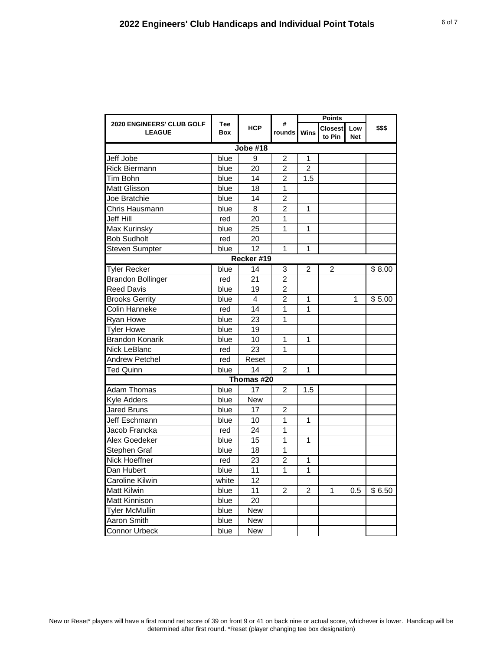| <b>2020 ENGINEERS' CLUB GOLF</b><br><b>LEAGUE</b> |                   |                         | #              | <b>Points</b>  |                          |                   |        |  |  |
|---------------------------------------------------|-------------------|-------------------------|----------------|----------------|--------------------------|-------------------|--------|--|--|
|                                                   | <b>Tee</b><br>Box | <b>HCP</b>              | rounds         | Wins           | <b>Closest</b><br>to Pin | Low<br><b>Net</b> | \$\$\$ |  |  |
| <b>Jobe #18</b>                                   |                   |                         |                |                |                          |                   |        |  |  |
| Jeff Jobe                                         | blue              | 9                       | $\overline{2}$ | 1              |                          |                   |        |  |  |
| Rick Biermann                                     | blue              | 20                      | $\overline{2}$ | $\overline{2}$ |                          |                   |        |  |  |
| Tim Bohn                                          | blue              | 14                      | $\overline{2}$ | 1.5            |                          |                   |        |  |  |
| Matt Glisson                                      | blue              | 18                      | $\overline{1}$ |                |                          |                   |        |  |  |
| Joe Bratchie                                      | blue              | 14                      | $\overline{2}$ |                |                          |                   |        |  |  |
| Chris Hausmann                                    | blue              | 8                       | $\overline{2}$ | 1              |                          |                   |        |  |  |
| Jeff Hill                                         | red               | 20                      | 1              |                |                          |                   |        |  |  |
| Max Kurinsky                                      | blue              | 25                      | 1              | 1              |                          |                   |        |  |  |
| <b>Bob Sudholt</b>                                | red               | 20                      |                |                |                          |                   |        |  |  |
| <b>Steven Sumpter</b>                             | blue              | $\overline{12}$         | $\overline{1}$ | $\overline{1}$ |                          |                   |        |  |  |
|                                                   |                   | Recker #19              |                |                |                          |                   |        |  |  |
| <b>Tyler Recker</b>                               | blue              | 14                      | 3              | $\overline{c}$ | $\overline{c}$           |                   | \$8.00 |  |  |
| <b>Brandon Bollinger</b>                          | red               | 21                      | $\overline{2}$ |                |                          |                   |        |  |  |
| <b>Reed Davis</b>                                 | blue              | 19                      | $\overline{2}$ |                |                          |                   |        |  |  |
| <b>Brooks Gerrity</b>                             | blue              | $\overline{\mathbf{4}}$ | $\overline{2}$ | 1              |                          | 1                 | \$5.00 |  |  |
| Colin Hanneke                                     | red               | 14                      | 1              | 1              |                          |                   |        |  |  |
| Ryan Howe                                         | blue              | 23                      | 1              |                |                          |                   |        |  |  |
| <b>Tyler Howe</b>                                 | blue              | 19                      |                |                |                          |                   |        |  |  |
| <b>Brandon Konarik</b>                            | blue              | 10                      | 1              | 1              |                          |                   |        |  |  |
| <b>Nick LeBlanc</b>                               | red               | 23                      | 1              |                |                          |                   |        |  |  |
| Andrew Petchel                                    | red               | Reset                   |                |                |                          |                   |        |  |  |
| Ted Quinn                                         | blue              | 14                      | $\overline{2}$ | 1              |                          |                   |        |  |  |
|                                                   |                   | Thomas #20              |                |                |                          |                   |        |  |  |
| Adam Thomas                                       | blue              | 17                      | $\overline{2}$ | 1.5            |                          |                   |        |  |  |
| <b>Kyle Adders</b>                                | blue              | <b>New</b>              |                |                |                          |                   |        |  |  |
| <b>Jared Bruns</b>                                | blue              | 17                      | 2              |                |                          |                   |        |  |  |
| Jeff Eschmann                                     | blue              | 10                      | $\overline{1}$ | 1              |                          |                   |        |  |  |
| Jacob Francka                                     | red               | 24                      | 1              |                |                          |                   |        |  |  |
| Alex Goedeker                                     | blue              | 15                      | 1              | 1              |                          |                   |        |  |  |
| Stephen Graf                                      | blue              | 18                      | 1              |                |                          |                   |        |  |  |
| Nick Hoeffner                                     | red               | 23                      | $\overline{2}$ | $\mathbf{1}$   |                          |                   |        |  |  |
| Dan Hubert                                        | blue              | 11                      | 1              | 1              |                          |                   |        |  |  |
| Caroline Kilwin                                   | white             | 12                      |                |                |                          |                   |        |  |  |
| <b>Matt Kilwin</b>                                | blue              | 11                      | $\overline{2}$ | $\overline{2}$ | 1                        | 0.5               | \$6.50 |  |  |
| <b>Matt Kinnison</b>                              | blue              | 20                      |                |                |                          |                   |        |  |  |
| <b>Tyler McMullin</b>                             | blue              | <b>New</b>              |                |                |                          |                   |        |  |  |
| Aaron Smith                                       | blue              | New                     |                |                |                          |                   |        |  |  |
| <b>Connor Urbeck</b>                              | blue              | <b>New</b>              |                |                |                          |                   |        |  |  |